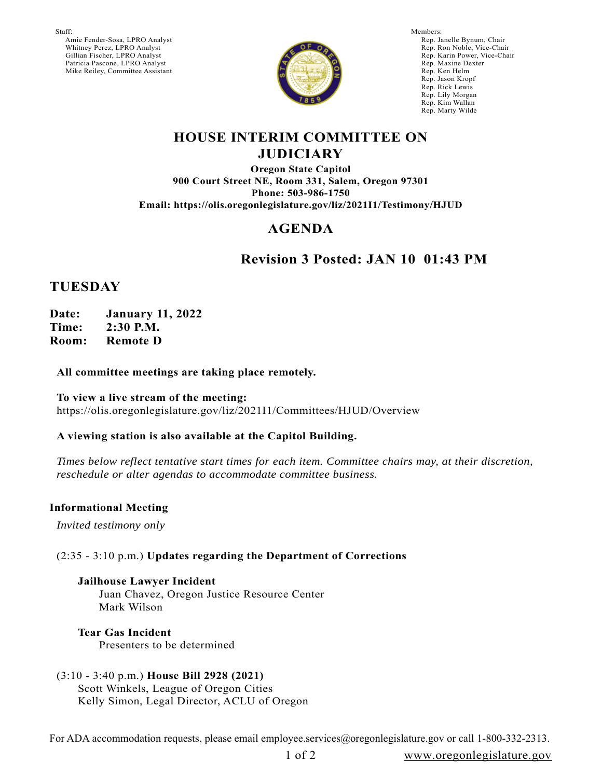Staff:

 Amie Fender-Sosa, LPRO Analyst Whitney Perez, LPRO Analyst Gillian Fischer, LPRO Analyst Patricia Pascone, LPRO Analyst Mike Reiley, Committee Assistant



Members: Rep. Janelle Bynum, Chair Rep. Ron Noble, Vice-Chair Rep. Karin Power, Vice-Chair Rep. Maxine Dexter Rep. Ken Helm Rep. Jason Kropf Rep. Rick Lewis Rep. Lily Morgan Rep. Kim Wallan Rep. Marty Wilde

### **HOUSE INTERIM COMMITTEE ON JUDICIARY**

**Oregon State Capitol 900 Court Street NE, Room 331, Salem, Oregon 97301 Phone: 503-986-1750 Email: https://olis.oregonlegislature.gov/liz/2021I1/Testimony/HJUD**

# **AGENDA**

# **Revision 3 Posted: JAN 10 01:43 PM**

## **TUESDAY**

**Date: January 11, 2022 Time: 2:30 P.M. Room: Remote D**

### **All committee meetings are taking place remotely.**

**To view a live stream of the meeting:**  https://olis.oregonlegislature.gov/liz/2021I1/Committees/HJUD/Overview

### **A viewing station is also available at the Capitol Building.**

*Times below reflect tentative start times for each item. Committee chairs may, at their discretion, reschedule or alter agendas to accommodate committee business.* 

### **Informational Meeting**

*Invited testimony only*

### (2:35 - 3:10 p.m.) **Updates regarding the Department of Corrections**

# **Jailhouse Lawyer Incident**

Juan Chavez, Oregon Justice Resource Center Mark Wilson

## **Tear Gas Incident**

Presenters to be determined

### (3:10 - 3:40 p.m.) **House Bill 2928 (2021)** Scott Winkels, League of Oregon Cities Kelly Simon, Legal Director, ACLU of Oregon

For ADA accommodation requests, please email employee.services@oregonlegislature.gov or call 1-800-332-2313.